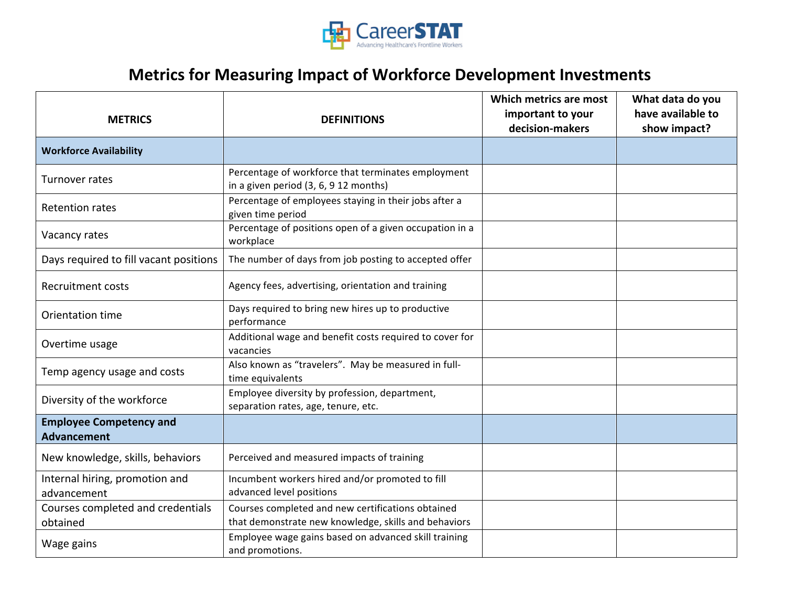

## **Metrics for Measuring Impact of Workforce Development Investments**

| <b>METRICS</b>                                       | <b>DEFINITIONS</b>                                                                                        | Which metrics are most<br>important to your<br>decision-makers | What data do you<br>have available to<br>show impact? |
|------------------------------------------------------|-----------------------------------------------------------------------------------------------------------|----------------------------------------------------------------|-------------------------------------------------------|
| <b>Workforce Availability</b>                        |                                                                                                           |                                                                |                                                       |
| Turnover rates                                       | Percentage of workforce that terminates employment<br>in a given period (3, 6, 9 12 months)               |                                                                |                                                       |
| <b>Retention rates</b>                               | Percentage of employees staying in their jobs after a<br>given time period                                |                                                                |                                                       |
| Vacancy rates                                        | Percentage of positions open of a given occupation in a<br>workplace                                      |                                                                |                                                       |
| Days required to fill vacant positions               | The number of days from job posting to accepted offer                                                     |                                                                |                                                       |
| <b>Recruitment costs</b>                             | Agency fees, advertising, orientation and training                                                        |                                                                |                                                       |
| Orientation time                                     | Days required to bring new hires up to productive<br>performance                                          |                                                                |                                                       |
| Overtime usage                                       | Additional wage and benefit costs required to cover for<br>vacancies                                      |                                                                |                                                       |
| Temp agency usage and costs                          | Also known as "travelers". May be measured in full-<br>time equivalents                                   |                                                                |                                                       |
| Diversity of the workforce                           | Employee diversity by profession, department,<br>separation rates, age, tenure, etc.                      |                                                                |                                                       |
| <b>Employee Competency and</b><br><b>Advancement</b> |                                                                                                           |                                                                |                                                       |
| New knowledge, skills, behaviors                     | Perceived and measured impacts of training                                                                |                                                                |                                                       |
| Internal hiring, promotion and<br>advancement        | Incumbent workers hired and/or promoted to fill<br>advanced level positions                               |                                                                |                                                       |
| Courses completed and credentials<br>obtained        | Courses completed and new certifications obtained<br>that demonstrate new knowledge, skills and behaviors |                                                                |                                                       |
| Wage gains                                           | Employee wage gains based on advanced skill training<br>and promotions.                                   |                                                                |                                                       |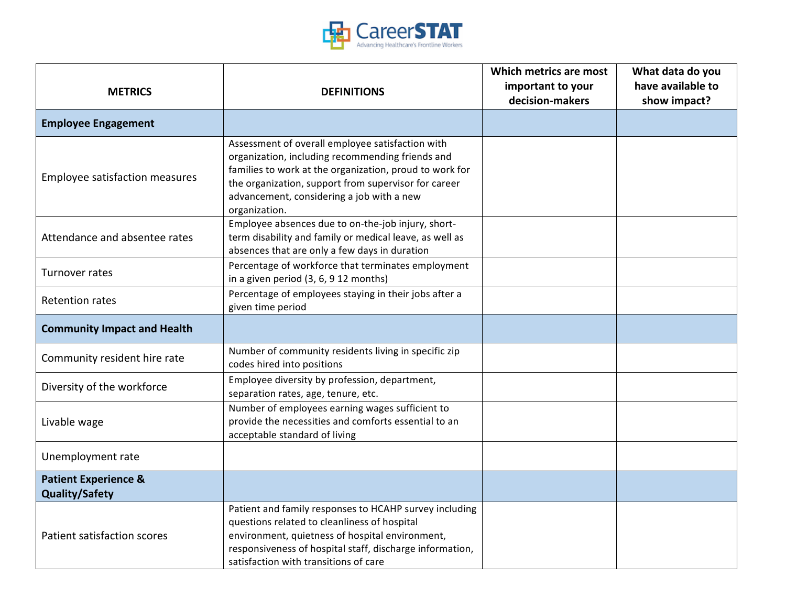

|                                    |                                                                                                                                                                                                                                                                                       | Which metrics are most               | What data do you                  |
|------------------------------------|---------------------------------------------------------------------------------------------------------------------------------------------------------------------------------------------------------------------------------------------------------------------------------------|--------------------------------------|-----------------------------------|
| <b>METRICS</b>                     | <b>DEFINITIONS</b>                                                                                                                                                                                                                                                                    | important to your<br>decision-makers | have available to<br>show impact? |
| <b>Employee Engagement</b>         |                                                                                                                                                                                                                                                                                       |                                      |                                   |
| Employee satisfaction measures     | Assessment of overall employee satisfaction with<br>organization, including recommending friends and<br>families to work at the organization, proud to work for<br>the organization, support from supervisor for career<br>advancement, considering a job with a new<br>organization. |                                      |                                   |
| Attendance and absentee rates      | Employee absences due to on-the-job injury, short-<br>term disability and family or medical leave, as well as<br>absences that are only a few days in duration                                                                                                                        |                                      |                                   |
| Turnover rates                     | Percentage of workforce that terminates employment<br>in a given period (3, 6, 9 12 months)                                                                                                                                                                                           |                                      |                                   |
| <b>Retention rates</b>             | Percentage of employees staying in their jobs after a<br>given time period                                                                                                                                                                                                            |                                      |                                   |
| <b>Community Impact and Health</b> |                                                                                                                                                                                                                                                                                       |                                      |                                   |
| Community resident hire rate       | Number of community residents living in specific zip<br>codes hired into positions                                                                                                                                                                                                    |                                      |                                   |
| Diversity of the workforce         | Employee diversity by profession, department,<br>separation rates, age, tenure, etc.                                                                                                                                                                                                  |                                      |                                   |
| Livable wage                       | Number of employees earning wages sufficient to<br>provide the necessities and comforts essential to an<br>acceptable standard of living                                                                                                                                              |                                      |                                   |
| Unemployment rate                  |                                                                                                                                                                                                                                                                                       |                                      |                                   |
| <b>Patient Experience &amp;</b>    |                                                                                                                                                                                                                                                                                       |                                      |                                   |
| <b>Quality/Safety</b>              |                                                                                                                                                                                                                                                                                       |                                      |                                   |
| Patient satisfaction scores        | Patient and family responses to HCAHP survey including<br>questions related to cleanliness of hospital<br>environment, quietness of hospital environment,<br>responsiveness of hospital staff, discharge information,<br>satisfaction with transitions of care                        |                                      |                                   |